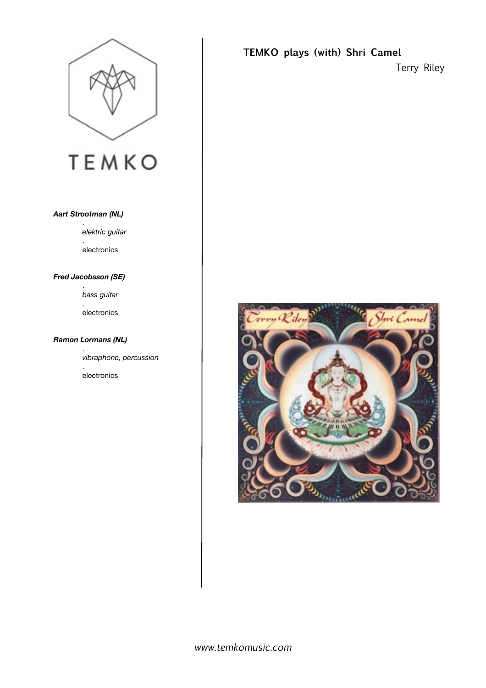

# **TEMKO**

#### *Aart Strootman (NL)*

. *elektric guitar* . electronics

#### *Fred Jacobsson (SE)*

 . *bass guitar*

 .

 electronics

#### *Ramon Lormans (NL)*

 .  *vibraphone, percussion*

 . electronics

# **TEMKO plays (with) Shri Camel**

Terry Riley

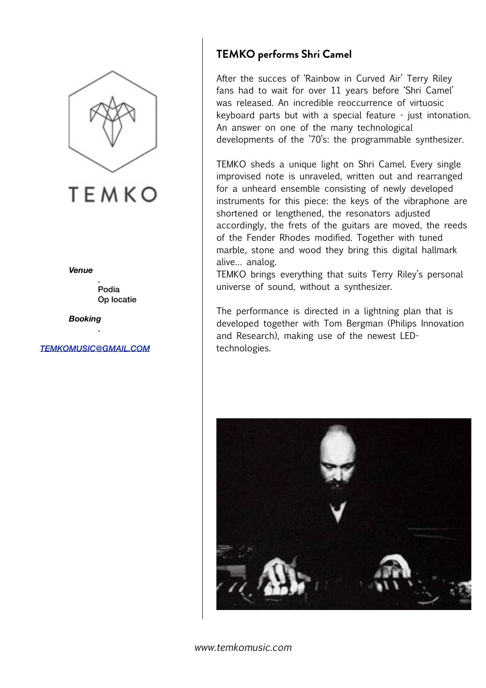

**TEMKO** 

*Venue*

 . Podia Op locatie

*Booking* 

*[TEMKOMUSIC@GMAIL.COM](mailto:TEMKOMUSIC@GMAIL.COM)*

.

# **TEMKO performs Shri Camel**

After the succes of 'Rainbow in Curved Air' Terry Riley fans had to wait for over 11 years before 'Shri Camel' was released. An incredible reoccurrence of virtuosic keyboard parts but with a special feature - just intonation. An answer on one of the many technological developments of the '70's: the programmable synthesizer.

TEMKO sheds a unique light on Shri Camel. Every single improvised note is unraveled, written out and rearranged for a unheard ensemble consisting of newly developed instruments for this piece: the keys of the vibraphone are shortened or lengthened, the resonators adjusted accordingly, the frets of the guitars are moved, the reeds of the Fender Rhodes modified. Together with tuned marble, stone and wood they bring this digital hallmark alive… analog.

TEMKO brings everything that suits Terry Riley's personal universe of sound, without a synthesizer.

The performance is directed in a lightning plan that is developed together with Tom Bergman (Philips Innovation and Research), making use of the newest LEDtechnologies.